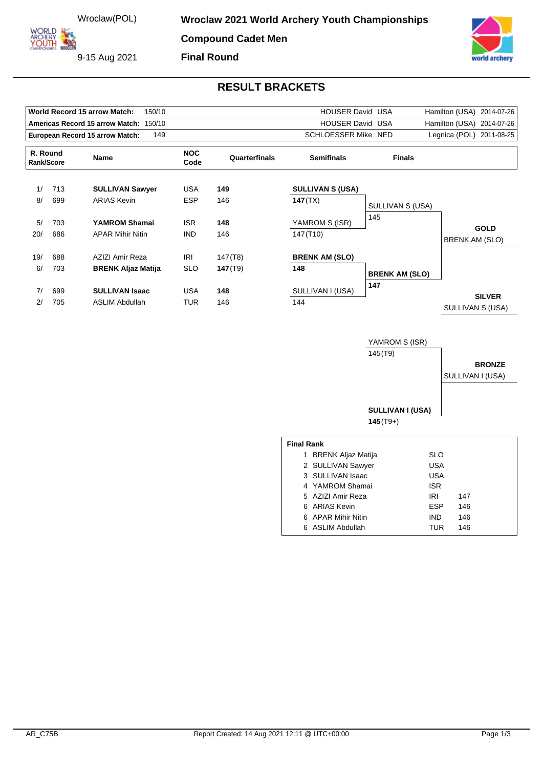9-15 Aug 2021



## **RESULT BRACKETS**

|                        |     | World Record 15 arrow Match:<br>150/10 |                    | HOUSER David USA |                         | 2014-07-26<br>Hamilton (USA) |                                      |  |
|------------------------|-----|----------------------------------------|--------------------|------------------|-------------------------|------------------------------|--------------------------------------|--|
|                        |     | Americas Record 15 arrow Match: 150/10 |                    |                  | <b>HOUSER David USA</b> |                              | Hamilton (USA) 2014-07-26            |  |
|                        |     | European Record 15 arrow Match:<br>149 |                    |                  | SCHLOESSER Mike NED     |                              | Legnica (POL) 2011-08-25             |  |
| R. Round<br>Rank/Score |     | <b>Name</b>                            | <b>NOC</b><br>Code | Quarterfinals    | <b>Semifinals</b>       | <b>Finals</b>                |                                      |  |
| 1/                     | 713 | <b>SULLIVAN Sawyer</b>                 | <b>USA</b>         | 149              | <b>SULLIVAN S (USA)</b> |                              |                                      |  |
| 8/                     | 699 | <b>ARIAS Kevin</b>                     | <b>ESP</b>         | 146              | 147(TX)                 | SULLIVAN S (USA)             |                                      |  |
| 5/                     | 703 | YAMROM Shamai                          | <b>ISR</b>         | 148              | YAMROM S (ISR)          | 145                          |                                      |  |
| 20/                    | 686 | <b>APAR Mihir Nitin</b>                | <b>IND</b>         | 146              | 147(T10)                |                              | <b>GOLD</b><br><b>BRENK AM (SLO)</b> |  |
| 19/                    | 688 | AZIZI Amir Reza                        | IRI                | 147 (T8)         | <b>BRENK AM (SLO)</b>   |                              |                                      |  |
| 6/                     | 703 | <b>BRENK Aljaz Matija</b>              | <b>SLO</b>         | 147(T9)          | 148                     | <b>BRENK AM (SLO)</b>        |                                      |  |
| 7/                     | 699 | <b>SULLIVAN Isaac</b>                  | <b>USA</b>         | 148              | SULLIVAN I (USA)        | 147                          | <b>SILVER</b>                        |  |
| 2/                     | 705 | <b>ASLIM Abdullah</b>                  | <b>TUR</b>         | 146              | 144                     |                              | SULLIVAN S (USA)                     |  |
|                        |     |                                        |                    |                  |                         | YAMROM S (ISR)               |                                      |  |
|                        |     |                                        |                    |                  |                         | 145 (T9)                     |                                      |  |
|                        |     |                                        |                    |                  |                         |                              | <b>BRONZE</b>                        |  |
|                        |     |                                        |                    |                  |                         |                              | SULLIVAN I (USA)                     |  |
|                        |     |                                        |                    |                  |                         | <b>SULLIVAN I (USA)</b>      |                                      |  |
|                        |     |                                        |                    |                  |                         | $145(T9+)$                   |                                      |  |

| <b>Final Rank</b> |                    |            |     |  |  |  |  |  |
|-------------------|--------------------|------------|-----|--|--|--|--|--|
| 1                 | BRENK Aljaz Matija | SLO        |     |  |  |  |  |  |
|                   | 2 SULLIVAN Sawyer  | USA        |     |  |  |  |  |  |
|                   | 3 SULLIVAN Isaac   | USA        |     |  |  |  |  |  |
|                   | 4 YAMROM Shamai    | <b>ISR</b> |     |  |  |  |  |  |
|                   | 5 AZIZI Amir Reza  | IRI        | 147 |  |  |  |  |  |
|                   | 6 ARIAS Kevin      | <b>ESP</b> | 146 |  |  |  |  |  |
|                   | 6 APAR Mihir Nitin | <b>IND</b> | 146 |  |  |  |  |  |
|                   | 6 ASLIM Abdullah   | TUR        | 146 |  |  |  |  |  |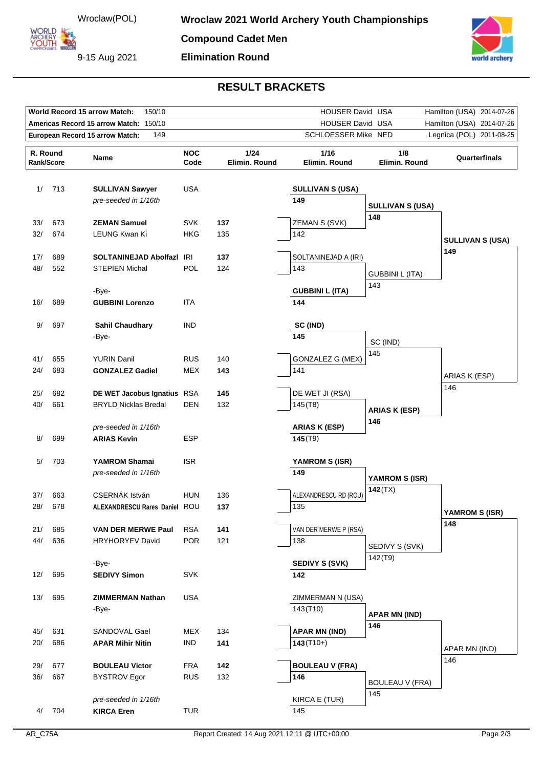**ORLD** ARCHERY<br>YOUTH 422

9-15 Aug 2021

orld archery

## **RESULT BRACKETS**

|                                                                                           | World Record 15 arrow Match:<br>150/10<br>HOUSER David USA<br>Hamilton (USA)<br>2014-07-26 |                                                     |                          |                       |                                                  |                           |                         |
|-------------------------------------------------------------------------------------------|--------------------------------------------------------------------------------------------|-----------------------------------------------------|--------------------------|-----------------------|--------------------------------------------------|---------------------------|-------------------------|
| Americas Record 15 arrow Match: 150/10                                                    |                                                                                            |                                                     |                          |                       | HOUSER David USA<br>Hamilton (USA)<br>2014-07-26 |                           |                         |
| European Record 15 arrow Match:<br>149<br>SCHLOESSER Mike NED<br>Legnica (POL) 2011-08-25 |                                                                                            |                                                     |                          |                       |                                                  |                           |                         |
| R. Round<br>Rank/Score                                                                    |                                                                                            | Name                                                | <b>NOC</b><br>Code       | 1/24<br>Elimin. Round | 1/16<br>Elimin. Round                            | 1/8<br>Elimin. Round      | Quarterfinals           |
| 1/                                                                                        | 713                                                                                        | <b>SULLIVAN Sawyer</b><br>pre-seeded in 1/16th      | <b>USA</b>               |                       | <b>SULLIVAN S (USA)</b><br>149                   | <b>SULLIVAN S (USA)</b>   |                         |
| 33/                                                                                       | 673                                                                                        | <b>ZEMAN Samuel</b>                                 | <b>SVK</b>               | 137                   | ZEMAN S (SVK)                                    | 148                       |                         |
| 32/                                                                                       | 674                                                                                        | LEUNG Kwan Ki                                       | HKG                      | 135                   | 142                                              |                           | <b>SULLIVAN S (USA)</b> |
|                                                                                           |                                                                                            |                                                     |                          |                       |                                                  |                           | 149                     |
| 17/<br>48/                                                                                | 689<br>552                                                                                 | SOLTANINEJAD Abolfazl IRI<br><b>STEPIEN Michal</b>  | <b>POL</b>               | 137<br>124            | SOLTANINEJAD A (IRI)<br>143                      |                           |                         |
|                                                                                           |                                                                                            |                                                     |                          |                       |                                                  | <b>GUBBINI L (ITA)</b>    |                         |
|                                                                                           |                                                                                            | -Bye-                                               |                          |                       | <b>GUBBINI L (ITA)</b>                           | 143                       |                         |
| 16/                                                                                       | 689                                                                                        | <b>GUBBINI Lorenzo</b>                              | ITA                      |                       | 144                                              |                           |                         |
| 9/                                                                                        | 697                                                                                        | <b>Sahil Chaudhary</b>                              | <b>IND</b>               |                       | SC (IND)                                         |                           |                         |
|                                                                                           |                                                                                            | -Bye-                                               |                          |                       | 145                                              |                           |                         |
|                                                                                           |                                                                                            |                                                     |                          |                       |                                                  | SC (IND)                  |                         |
| 41/                                                                                       | 655                                                                                        | <b>YURIN Danil</b>                                  | <b>RUS</b>               | 140                   | GONZALEZ G (MEX)                                 | 145                       |                         |
| 24/                                                                                       | 683                                                                                        | <b>GONZALEZ Gadiel</b>                              | MEX                      | 143                   | 141                                              |                           | ARIAS K (ESP)           |
| 25/                                                                                       | 682                                                                                        | DE WET Jacobus Ignatius RSA                         |                          | 145                   | DE WET JI (RSA)                                  |                           | 146                     |
| 40/                                                                                       | 661                                                                                        | <b>BRYLD Nicklas Bredal</b>                         | <b>DEN</b>               | 132                   | 145(78)                                          |                           |                         |
|                                                                                           |                                                                                            |                                                     |                          |                       |                                                  | <b>ARIAS K (ESP)</b>      |                         |
|                                                                                           |                                                                                            | pre-seeded in 1/16th                                |                          |                       | <b>ARIAS K (ESP)</b>                             | 146                       |                         |
| 8/                                                                                        | 699                                                                                        | <b>ARIAS Kevin</b>                                  | <b>ESP</b>               |                       | 145(T9)                                          |                           |                         |
| 5/                                                                                        | 703                                                                                        | <b>YAMROM Shamai</b>                                | <b>ISR</b>               |                       | YAMROM S (ISR)                                   |                           |                         |
|                                                                                           |                                                                                            | pre-seeded in 1/16th                                |                          |                       | 149                                              |                           |                         |
|                                                                                           |                                                                                            |                                                     |                          |                       |                                                  | YAMROM S (ISR)<br>142(TX) |                         |
| 37/                                                                                       | 663                                                                                        | CSERNÁK István                                      | <b>HUN</b>               | 136                   | ALEXANDRESCU RD (ROU)                            |                           |                         |
| 28/                                                                                       | 678                                                                                        | ALEXANDRESCU Rares Daniel ROU                       |                          | 137                   | 135                                              |                           | YAMROM S (ISR)          |
|                                                                                           |                                                                                            |                                                     |                          |                       |                                                  |                           | 148                     |
| 21/<br>44/                                                                                | 685<br>636                                                                                 | <b>VAN DER MERWE Paul</b><br><b>HRYHORYEV David</b> | <b>RSA</b><br><b>POR</b> | 141<br>121            | VAN DER MERWE P (RSA)<br>138                     |                           |                         |
|                                                                                           |                                                                                            |                                                     |                          |                       |                                                  | SEDIVY S (SVK)            |                         |
|                                                                                           |                                                                                            | -Bye-                                               |                          |                       | <b>SEDIVY S (SVK)</b>                            | 142(T9)                   |                         |
| 12/                                                                                       | 695                                                                                        | <b>SEDIVY Simon</b>                                 | <b>SVK</b>               |                       | 142                                              |                           |                         |
| 13/                                                                                       | 695                                                                                        | <b>ZIMMERMAN Nathan</b>                             | <b>USA</b>               |                       | ZIMMERMAN N (USA)                                |                           |                         |
|                                                                                           |                                                                                            | -Bye-                                               |                          |                       | 143(T10)                                         |                           |                         |
|                                                                                           |                                                                                            |                                                     |                          |                       |                                                  | <b>APAR MN (IND)</b>      |                         |
| 45/                                                                                       | 631                                                                                        | SANDOVAL Gael                                       | MEX                      | 134                   | <b>APAR MN (IND)</b>                             | 146                       |                         |
| 20/                                                                                       | 686                                                                                        | <b>APAR Mihir Nitin</b>                             | <b>IND</b>               | 141                   | $143(T10+)$                                      |                           |                         |
|                                                                                           |                                                                                            |                                                     |                          |                       |                                                  |                           | APAR MN (IND)<br>146    |
| 29/                                                                                       | 677                                                                                        | <b>BOULEAU Victor</b>                               | <b>FRA</b>               | 142                   | <b>BOULEAU V (FRA)</b>                           |                           |                         |
| 36/                                                                                       | 667                                                                                        | <b>BYSTROV Egor</b>                                 | <b>RUS</b>               | 132                   | 146                                              | <b>BOULEAU V (FRA)</b>    |                         |
|                                                                                           |                                                                                            | pre-seeded in 1/16th                                |                          |                       | KIRCA E (TUR)                                    | 145                       |                         |
| 4/                                                                                        | 704                                                                                        | <b>KIRCA Eren</b>                                   | <b>TUR</b>               |                       | 145                                              |                           |                         |
|                                                                                           |                                                                                            |                                                     |                          |                       |                                                  |                           |                         |